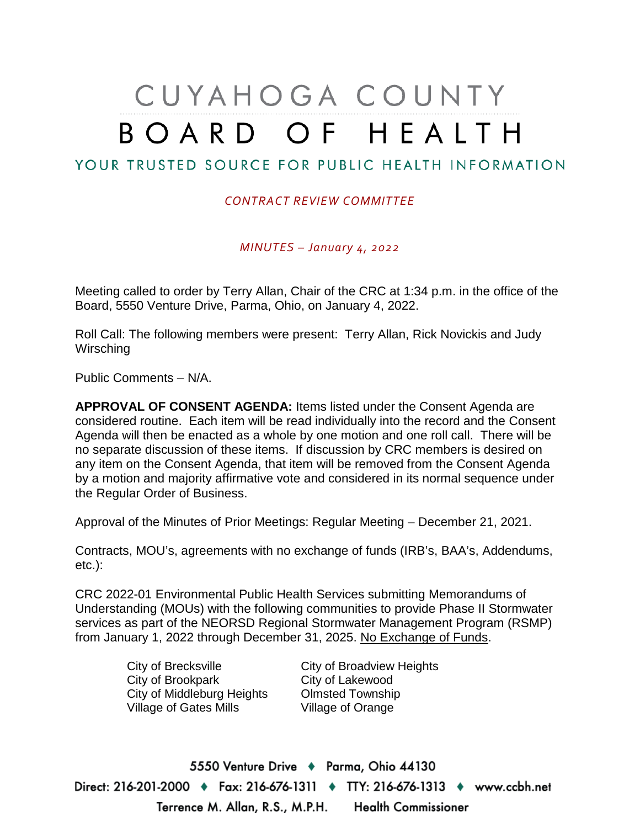# CUYAHOGA COUNTY BOARD OF HEALTH

# YOUR TRUSTED SOURCE FOR PUBLIC HEALTH INFORMATION

#### *CONTRACT REVIEW COMMITTEE*

*MINUTES – January 4, 2022*

Meeting called to order by Terry Allan, Chair of the CRC at 1:34 p.m. in the office of the Board, 5550 Venture Drive, Parma, Ohio, on January 4, 2022.

Roll Call: The following members were present: Terry Allan, Rick Novickis and Judy **Wirsching** 

Public Comments – N/A.

**APPROVAL OF CONSENT AGENDA:** Items listed under the Consent Agenda are considered routine. Each item will be read individually into the record and the Consent Agenda will then be enacted as a whole by one motion and one roll call. There will be no separate discussion of these items. If discussion by CRC members is desired on any item on the Consent Agenda, that item will be removed from the Consent Agenda by a motion and majority affirmative vote and considered in its normal sequence under the Regular Order of Business.

Approval of the Minutes of Prior Meetings: Regular Meeting – December 21, 2021.

Contracts, MOU's, agreements with no exchange of funds (IRB's, BAA's, Addendums, etc.):

CRC 2022-01 Environmental Public Health Services submitting Memorandums of Understanding (MOUs) with the following communities to provide Phase II Stormwater services as part of the NEORSD Regional Stormwater Management Program (RSMP) from January 1, 2022 through December 31, 2025. No Exchange of Funds.

> City of Brecksville City of Broadview Heights City of Brookpark City of Lakewood City of Middleburg Heights Olmsted Township Village of Gates Mills Village of Orange

5550 Venture Drive + Parma, Ohio 44130 Direct: 216-201-2000 ♦ Fax: 216-676-1311 ♦ TTY: 216-676-1313 ♦ www.ccbh.net Terrence M. Allan, R.S., M.P.H. Health Commissioner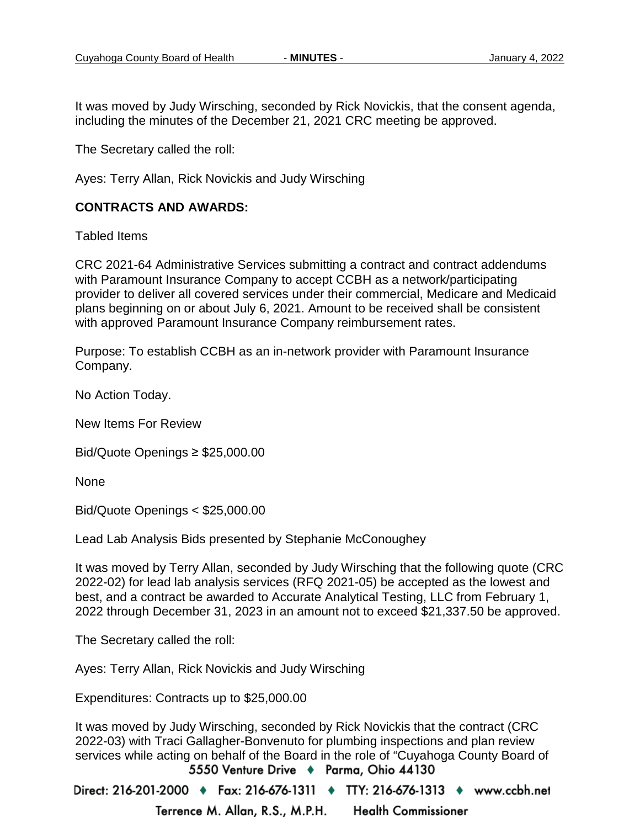It was moved by Judy Wirsching, seconded by Rick Novickis, that the consent agenda, including the minutes of the December 21, 2021 CRC meeting be approved.

The Secretary called the roll:

Ayes: Terry Allan, Rick Novickis and Judy Wirsching

### **CONTRACTS AND AWARDS:**

Tabled Items

CRC 2021-64 Administrative Services submitting a contract and contract addendums with Paramount Insurance Company to accept CCBH as a network/participating provider to deliver all covered services under their commercial, Medicare and Medicaid plans beginning on or about July 6, 2021. Amount to be received shall be consistent with approved Paramount Insurance Company reimbursement rates.

Purpose: To establish CCBH as an in-network provider with Paramount Insurance Company.

No Action Today.

New Items For Review

Bid/Quote Openings ≥ \$25,000.00

None

Bid/Quote Openings < \$25,000.00

Lead Lab Analysis Bids presented by Stephanie McConoughey

It was moved by Terry Allan, seconded by Judy Wirsching that the following quote (CRC 2022-02) for lead lab analysis services (RFQ 2021-05) be accepted as the lowest and best, and a contract be awarded to Accurate Analytical Testing, LLC from February 1, 2022 through December 31, 2023 in an amount not to exceed \$21,337.50 be approved.

The Secretary called the roll:

Ayes: Terry Allan, Rick Novickis and Judy Wirsching

Expenditures: Contracts up to \$25,000.00

It was moved by Judy Wirsching, seconded by Rick Novickis that the contract (CRC 2022-03) with Traci Gallagher-Bonvenuto for plumbing inspections and plan review services while acting on behalf of the Board in the role of "Cuyahoga County Board of 5550 Venture Drive + Parma, Ohio 44130

Direct: 216-201-2000 ♦ Fax: 216-676-1311 ♦ TTY: 216-676-1313 ♦ www.ccbh.net Terrence M. Allan, R.S., M.P.H. **Health Commissioner**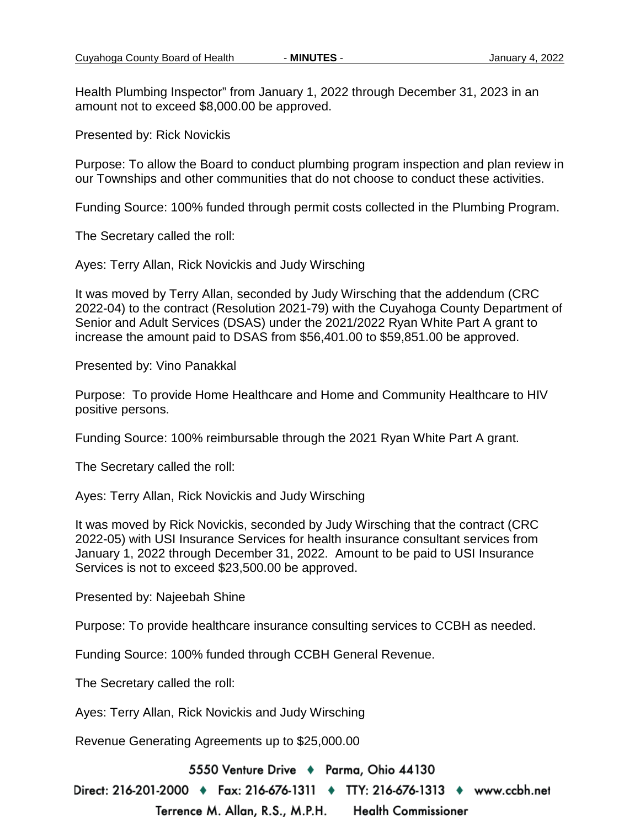Health Plumbing Inspector" from January 1, 2022 through December 31, 2023 in an amount not to exceed \$8,000.00 be approved.

Presented by: Rick Novickis

Purpose: To allow the Board to conduct plumbing program inspection and plan review in our Townships and other communities that do not choose to conduct these activities.

Funding Source: 100% funded through permit costs collected in the Plumbing Program.

The Secretary called the roll:

Ayes: Terry Allan, Rick Novickis and Judy Wirsching

It was moved by Terry Allan, seconded by Judy Wirsching that the addendum (CRC 2022-04) to the contract (Resolution 2021-79) with the Cuyahoga County Department of Senior and Adult Services (DSAS) under the 2021/2022 Ryan White Part A grant to increase the amount paid to DSAS from \$56,401.00 to \$59,851.00 be approved.

Presented by: Vino Panakkal

Purpose: To provide Home Healthcare and Home and Community Healthcare to HIV positive persons.

Funding Source: 100% reimbursable through the 2021 Ryan White Part A grant.

The Secretary called the roll:

Ayes: Terry Allan, Rick Novickis and Judy Wirsching

It was moved by Rick Novickis, seconded by Judy Wirsching that the contract (CRC 2022-05) with USI Insurance Services for health insurance consultant services from January 1, 2022 through December 31, 2022. Amount to be paid to USI Insurance Services is not to exceed \$23,500.00 be approved.

Presented by: Najeebah Shine

Purpose: To provide healthcare insurance consulting services to CCBH as needed.

Funding Source: 100% funded through CCBH General Revenue.

The Secretary called the roll:

Ayes: Terry Allan, Rick Novickis and Judy Wirsching

Revenue Generating Agreements up to \$25,000.00

5550 Venture Drive → Parma, Ohio 44130

Direct: 216-201-2000 ♦ Fax: 216-676-1311 ♦ TTY: 216-676-1313 ♦ www.ccbh.net

Terrence M. Allan, R.S., M.P.H. **Health Commissioner**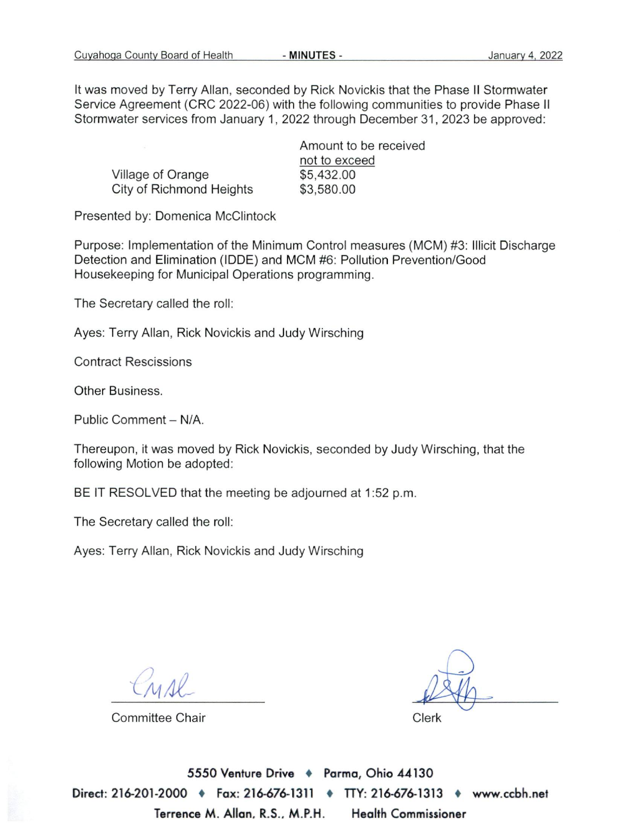It was moved by Terry Allan, seconded by Rick Novickis that the Phase II Stormwater Service Agreement (CRC 2022-06) with the following communities to provide Phase II Stormwater services from January 1, 2022 through December 31, 2023 be approved:

|                          | Amount to be received |  |  |  |  |  |
|--------------------------|-----------------------|--|--|--|--|--|
|                          | not to exceed         |  |  |  |  |  |
| Village of Orange        | \$5,432.00            |  |  |  |  |  |
| City of Richmond Heights | \$3,580.00            |  |  |  |  |  |

Presented by: Domenica McClintock

Purpose: Implementation of the Minimum Control measures (MCM) #3: Illicit Discharge Detection and Elimination (IDDE) and MCM #6: Pollution Prevention/Good Housekeeping for Municipal Operations programming.

The Secretary called the roll:

Ayes: Terry Allan, Rick Novickis and Judy Wirsching

**Contract Rescissions** 

Other Business.

Public Comment - N/A.

Thereupon, it was moved by Rick Novickis, seconded by Judy Wirsching, that the following Motion be adopted:

BE IT RESOLVED that the meeting be adjourned at 1:52 p.m.

The Secretary called the roll:

Ayes: Terry Allan, Rick Novickis and Judy Wirsching

**Committee Chair** 

Clerk

5550 Venture Drive + Parma, Ohio 44130 Direct: 216-201-2000 + Fax: 216-676-1311 + TTY: 216-676-1313 • www.ccbh.net Terrence M. Allan, R.S., M.P.H. **Health Commissioner**